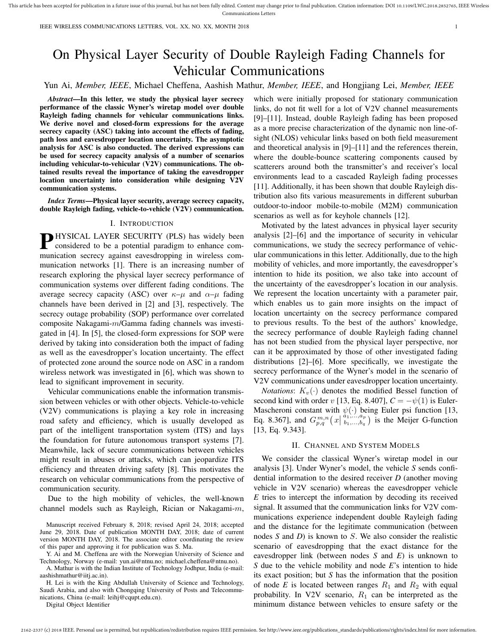This article has been accepted for publication in a future issue of this journal, but has not been fully edited. Content may change prior to final publication. Citation information: DOI 10.1109/LWC.2018.2852765, IEEE Wirel Communications Letters

IEEE WIRELESS COMMUNICATIONS LETTERS, VOL. XX, NO. XX, MONTH 2018 1

# On Physical Layer Security of Double Rayleigh Fading Channels for Vehicular Communications

# Yun Ai, *Member, IEEE*, Michael Cheffena, Aashish Mathur, *Member, IEEE*, and Hongjiang Lei, *Member, IEEE*

*Abstract*—In this letter, we study the physical layer secrecy performance of the classic Wyner's wiretap model over double Rayleigh fading channels for vehicular communications links. We derive novel and closed-form expressions for the average secrecy capacity (ASC) taking into account the effects of fading, path loss and eavesdropper location uncertainty. The asymptotic analysis for ASC is also conducted. The derived expressions can be used for secrecy capacity analysis of a number of scenarios including vehicular-to-vehicular (V2V) communications. The obtained results reveal the importance of taking the eavesdropper location uncertainty into consideration while designing V2V communication systems.

*Index Terms*—Physical layer security, average secrecy capacity, double Rayleigh fading, vehicle-to-vehicle (V2V) communication.

# I. INTRODUCTION

**PHYSICAL LAYER SECURITY (PLS)** has widely been considered to be a potential paradigm to enhance comconsidered to be a potential paradigm to enhance communication secrecy against eavesdropping in wireless communication networks [1]. There is an increasing number of research exploring the physical layer secrecy performance of communication systems over different fading conditions. The average secrecy capacity (ASC) over  $\kappa-\mu$  and  $\alpha-\mu$  fading channels have been derived in [2] and [3], respectively. The secrecy outage probability (SOP) performance over correlated composite Nakagami-m/Gamma fading channels was investigated in [4]. In [5], the closed-form expressions for SOP were derived by taking into consideration both the impact of fading as well as the eavesdropper's location uncertainty. The effect of protected zone around the source node on ASC in a random wireless network was investigated in [6], which was shown to lead to significant improvement in security.

Vehicular communications enable the information transmission between vehicles or with other objects. Vehicle-to-vehicle (V2V) communications is playing a key role in increasing road safety and efficiency, which is usually developed as part of the intelligent transportation system (ITS) and lays the foundation for future autonomous transport systems [7]. Meanwhile, lack of secure communications between vehicles might result in abuses or attacks, which can jeopardize ITS efficiency and threaten driving safety [8]. This motivates the research on vehicular communications from the perspective of communication security.

Due to the high mobility of vehicles, the well-known channel models such as Rayleigh, Rician or Nakagami-m,

Manuscript received February 8, 2018; revised April 24, 2018; accepted June 29, 2018. Date of publication MONTH DAY, 2018; date of current version MONTH DAY, 2018. The associate editor coordinating the review of this paper and approving it for publication was S. Ma.

Y. Ai and M. Cheffena are with the Norwegian University of Science and Technology, Norway (e-mail: yun.ai@ntnu.no; michael.cheffena@ntnu.no).

A. Mathur is with the Indian Institute of Technology Jodhpur, India (e-mail: aashishmathur@iitj.ac.in).

H. Lei is with the King Abdullah University of Science and Technology, Saudi Arabia, and also with Chongqing University of Posts and Telecommunications, China (e-mail: leihj@cqupt.edu.cn).

Digital Object Identifier

which were initially proposed for stationary communication links, do not fit well for a lot of V2V channel measurements [9]–[11]. Instead, double Rayleigh fading has been proposed as a more precise characterization of the dynamic non line-ofsight (NLOS) vehicular links based on both field measurement and theoretical analysis in [9]–[11] and the references therein, where the double-bounce scattering components caused by scatterers around both the transmitter's and receiver's local environments lead to a cascaded Rayleigh fading processes [11]. Additionally, it has been shown that double Rayleigh distribution also fits various measurements in different suburban outdoor-to-indoor mobile-to-mobile (M2M) communication scenarios as well as for keyhole channels [12].

Motivated by the latest advances in physical layer security analysis [2]–[6] and the importance of security in vehicular communications, we study the secrecy performance of vehicular communications in this letter. Additionally, due to the high mobility of vehicles, and more importantly, the eavesdropper's intention to hide its position, we also take into account of the uncertainty of the eavesdropper's location in our analysis. We represent the location uncertainty with a parameter pair, which enables us to gain more insights on the impact of location uncertainty on the secrecy performance compared to previous results. To the best of the authors' knowledge, the secrecy performance of double Rayleigh fading channel has not been studied from the physical layer perspective, nor can it be approximated by those of other investigated fading distributions [2]–[6]. More specifically, we investigate the secrecy performance of the Wyner's model in the scenario of V2V communications under eavesdropper location uncertainty.

*Notations:*  $K_v(\cdot)$  denotes the modified Bessel function of second kind with order v [13, Eq. 8.407],  $C = -\psi(1)$  is Euler-Mascheroni constant with  $\psi(\cdot)$  being Euler psi function [13, Eq. 8.367], and  $G_{p,q}^{m,n}(x|\substack{a_1,\ldots,a_p \\ b_1,\ldots,b_q}$  $\binom{a_1,\ldots,a_p}{b_1,\ldots,b_q}$  is the Meijer G-function [13, Eq. 9.343].

# II. CHANNEL AND SYSTEM MODELS

We consider the classical Wyner's wiretap model in our analysis [3]. Under Wyner's model, the vehicle *S* sends confidential information to the desired receiver *D* (another moving vehicle in V2V scenario) whereas the eavesdropper vehicle *E* tries to intercept the information by decoding its received signal. It assumed that the communication links for V2V communications experience independent double Rayleigh fading and the distance for the legitimate communication (between nodes *S* and *D*) is known to S. We also consider the realistic scenario of eavesdropping that the exact distance for the eavesdropper link (between nodes *S* and *E*) is unknown to *S* due to the vehicle mobility and node *E*'s intention to hide its exact position; but *S* has the information that the position of node  $E$  is located between ranges  $R_1$  and  $R_2$  with equal probability. In V2V scenario,  $R_1$  can be interpreted as the minimum distance between vehicles to ensure safety or the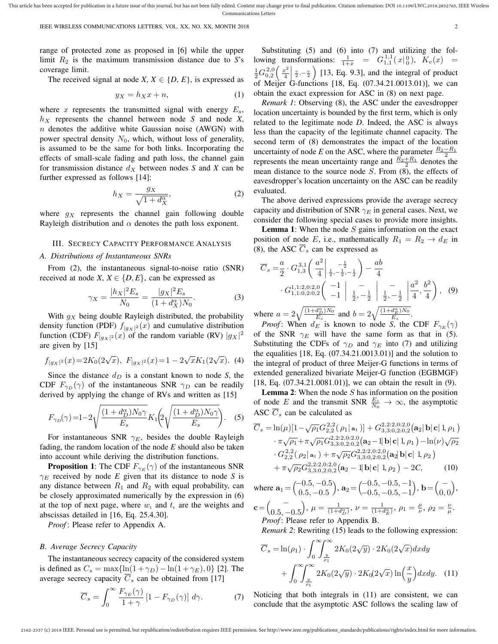IEEE WIRELESS COMMUNICATIONS LETTERS, VOL. XX, NO. XX, MONTH 2018 2

range of protected zone as proposed in [6] while the upper limit  $R_2$  is the maximum transmission distance due to  $S$ 's coverage limit.

The received signal at node *X*,  $X \in \{D, E\}$ , is expressed as

$$
y_X = h_X x + n,\tag{1}
$$

where x represents the transmitted signal with energy  $E_s$ ,  $h_X$  represents the channel between node *S* and node *X*,  $n$  denotes the additive white Gaussian noise (AWGN) with power spectral density  $N_0$ , which, without loss of generality, is assumed to be the same for both links. Incorporating the effects of small-scale fading and path loss, the channel gain for transmission distance  $d_X$  between nodes *S* and *X* can be further expressed as follows [14]:

$$
h_X = \frac{g_X}{\sqrt{1 + d_X^{\alpha}}},\tag{2}
$$

where  $g_X$  represents the channel gain following double Rayleigh distribution and  $\alpha$  denotes the path loss exponent.

#### III. SECRECY CAPACITY PERFORMANCE ANALYSIS

#### *A. Distributions of Instantaneous SNRs*

From (2), the instantaneous signal-to-noise ratio (SNR) received at node *X*,  $X \in \{D, E\}$ , can be expressed as

$$
\gamma_X = \frac{|h_X|^2 E_s}{N_0} = \frac{|g_X|^2 E_s}{(1 + d_X^{\alpha}) N_0}.
$$
 (3)

With  $g_X$  being double Rayleigh distributed, the probability density function (PDF)  $f_{|gx|^2}(x)$  and cumulative distribution function (CDF)  $F_{|g_X|^2}(x)$  of the random variable (RV)  $|g_X|^2$ are given by [15]

$$
f_{|g_X|^2}(x) = 2K_0(2\sqrt{x}), \ F_{|g_X|^2}(x) = 1 - 2\sqrt{x}K_1(2\sqrt{x}).
$$
 (4)

Since the distance  $d<sub>D</sub>$  is a constant known to node *S*, the CDF  $F_{\gamma_D}(\gamma)$  of the instantaneous SNR  $\gamma_D$  can be readily derived by applying the change of RVs and written as [15]

$$
F_{\gamma D}(\gamma) = 1 - 2\sqrt{\frac{(1+d_D^{\alpha})N_0\gamma}{E_s}}K_1\left(2\sqrt{\frac{(1+d_D^{\alpha})N_0\gamma}{E_s}}\right). \quad (5)
$$

For instantaneous SNR  $\gamma_E$ , besides the double Rayleigh fading, the random location of the node *E* should also be taken into account while deriving the distribution functions.

**Proposition 1:** The CDF  $F_{\gamma_E}(\gamma)$  of the instantaneous SNR  $\gamma_E$  received by node *E* given that its distance to node *S* is any distance between  $R_1$  and  $R_2$  with equal probability, can be closely approximated numerically by the expression in (6) at the top of next page, where  $w_t$  and  $t_t$  are the weights and abscissas detailed in [16, Eq. 25.4.30].

*Proof*: Please refer to Appendix A.

#### *B. Average Secrecy Capacity*

The instantaneous secrecy capacity of the considered system is defined as  $C_s = \max{\ln(1 + \gamma_D) - \ln(1 + \gamma_E)}, 0$  [2]. The average secrecy capacity  $\overline{C}_s$  can be obtained from [17]

$$
\overline{C}_s = \int_0^\infty \frac{F_{\gamma_E}(\gamma)}{1+\gamma} \left[1 - F_{\gamma_D}(\gamma)\right] d\gamma. \tag{7}
$$

Substituting (5) and (6) into (7) and utilizing the following transformations:  $\frac{1}{1+x} = G_{1,1}^{1,1}(x |_{0}^{0}), K_{v}(x) =$  $\frac{1}{2}G_{0,2}^{2,0}(\frac{x^2}{4}$  $\frac{v^2}{4}$   $\frac{v}{2}, -\frac{v}{2}$  [13, Eq. 9.3], and the integral of product of Meijer G-functions [18, Eq.  $(07.34.21.0013.01)$ ], we can obtain the exact expression for ASC in (8) on next page.

*Remark 1*: Observing (8), the ASC under the eavesdropper location uncertainty is bounded by the first term, which is only related to the legitimate node *D*. Indeed, the ASC is always less than the capacity of the legitimate channel capacity. The second term of (8) demonstrates the impact of the location uncertainty of node *E* on the ASC, where the parameter  $\frac{R_2 - R_1}{2}$ represents the mean uncertainty range and  $\frac{R_2 + R_1}{2}$  denotes the mean distance to the source node  $S$ . From  $(8)$ , the effects of eavesdropper's location uncertainty on the ASC can be readily evaluated.

The above derived expressions provide the average secrecy capacity and distribution of SNR  $\gamma_E$  in general cases. Next, we consider the following special cases to provide more insights.

**Lemma 1:** When the node  $S$  gains information on the exact position of node E, i.e., mathematically  $R_1 = R_2 \rightarrow d_E$  in (8), the ASC  $C_s$  can be expressed as

$$
\overline{C}_s = \frac{a}{2} \cdot G_{1,3}^{3,1} \left( \frac{a^2}{4} \bigg| \frac{-\frac{1}{2}}{\frac{1}{2}, -\frac{1}{2}, -\frac{1}{2}} \right) - \frac{ab}{4}
$$
  
 
$$
\cdot G_{1,1:2,0:2,0}^{1,1:2,0:2,0} \left( \frac{-1}{-1} \bigg| \frac{-}{\frac{1}{2}, -\frac{1}{2}} \bigg| \frac{-}{\frac{1}{2}, -\frac{1}{2}} \bigg| \frac{a^2}{4}, \frac{b^2}{4} \right), (9)
$$

where  $a = 2\sqrt{\frac{(1+d_{p}^{\alpha})N_0}{E_s}}$  and  $b = 2\sqrt{\frac{(1+d_{p}^{\alpha})N_0}{E_s}}$ .

*Proof*: When  $d_E$  is known to node *S*, the CDF  $F_{\gamma_E}(\gamma)$ of the SNR  $\gamma_E$  will have the same form as that in (5). Substituting the CDFs of  $\gamma_D$  and  $\gamma_E$  into (7) and utilizing the equalities [18, Eq. (07.34.21.0013.01)] and the solution to the integral of product of three Meijer-G functions in terms of extended generalized bivariate Meijer-G function (EGBMGF) [18, Eq. (07.34.21.0081.01)], we can obtain the result in (9).

**Lemma 2:** When the node  $S$  has information on the position of node E and the transmit SNR  $\frac{E_s}{N_0} \to \infty$ , the asymptotic ASC  $\overline{C}_s$  can be calculated as

$$
\overline{C}_{s} = \ln(\mu)[1 - \sqrt{\rho_{1}}G_{2,2}^{2,2}(\rho_{1}|\mathbf{a}_{1})] + G_{3,3;0,2;0,2}^{2,2;2,0;2,0}(\mathbf{a}_{2}|\mathbf{b}|\mathbf{c}|1,\rho_{1})
$$

$$
\cdot \pi \sqrt{\rho_{1}} + \pi \sqrt{\rho_{1}}G_{3,3;0,2;0,2}^{2,2;2,0;2,0}(\mathbf{a}_{2} - 1|\mathbf{b}|\mathbf{c}|1,\rho_{1}) - \ln(\nu)\sqrt{\rho_{2}}
$$

$$
\cdot G_{2,2}^{2,2}(\rho_{2}|\mathbf{a}_{1}) + \pi \sqrt{\rho_{2}}G_{3,3;0,2;0,2}^{2,2;2,0;2,0}(\mathbf{a}_{2}|\mathbf{b}|\mathbf{c}|1,\rho_{2})
$$

$$
+ \pi \sqrt{\rho_{2}}G_{3,3;0,2;0,2}^{2,2;2,0;2,0}(\mathbf{a}_{2} - 1|\mathbf{b}|\mathbf{c}|1,\rho_{2}) - 2C,
$$
(10)

where  $\mathbf{a}_1 = \begin{pmatrix} -0.5 & -0.5 \\ 0.5 & 0.5 \end{pmatrix}$  $0.5, -0.5$  $\lambda$ ,  $\mathbf{a}_2 = \begin{pmatrix} -0.5, -0.5, -1 \\ 0.5, 0.5, 1 \end{pmatrix}$  $-0.5, -0.5, -1$  $\mathbf{b} = \begin{pmatrix} -1 \\ 0 \end{pmatrix}$  $0, 0$ ,

$$
\mathbf{c} = \begin{pmatrix} - \\ 0.5, -0.5 \end{pmatrix}, \ \mu = \frac{1}{(1+d_{\mathcal{D}}^{\alpha})}, \ \nu = \frac{1}{(1+d_{\mathcal{E}}^{\alpha})}, \ \rho_1 = \frac{\mu}{\nu}, \ \rho_2 = \frac{\nu}{\mu}.
$$
  
*Proof*: Please refer to Appendix B.

*Remark 2*: Rewriting (15) leads to the following expression:

$$
\overline{C}_s = \ln(\rho_1) \cdot \int_0^\infty \int_{\frac{y}{\rho_1}}^\infty 2K_0(2\sqrt{y}) \cdot 2K_0(2\sqrt{x}) dx dy
$$

$$
+ \int_0^\infty \int_{\frac{y}{\rho_1}}^\infty 2K_0(2\sqrt{y}) \cdot 2K_0(2\sqrt{x}) \ln\left(\frac{x}{y}\right) dx dy. \quad (11)
$$

Noticing that both integrals in (11) are consistent, we can conclude that the asymptotic ASC follows the scaling law of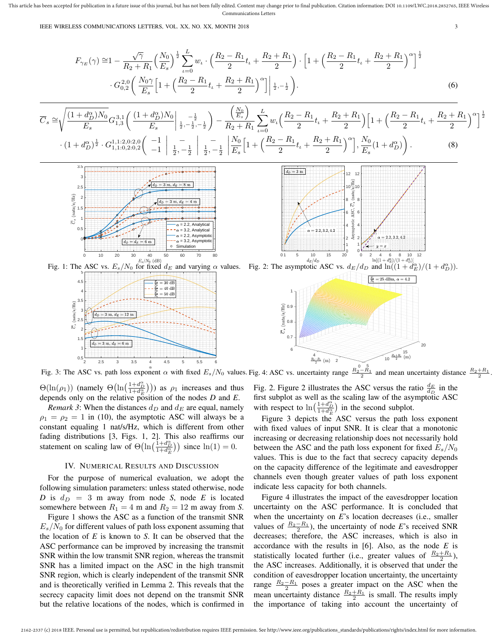This article has been accepted for publication in a future issue of this journal, but has not been fully edited. Content may change prior to final publication. Citation information: DOI 10.1109/LWC.2018.2852765, IEEE Wirel Communications Letters

IEEE WIRELESS COMMUNICATIONS LETTERS, VOL. XX, NO. XX, MONTH 2018 3

$$
F_{\gamma_E}(\gamma) \cong 1 - \frac{\sqrt{\gamma}}{R_2 + R_1} \left(\frac{N_0}{E_s}\right)^{\frac{1}{2}} \sum_{\iota=0}^{L} w_{\iota} \cdot \left(\frac{R_2 - R_1}{2} t_{\iota} + \frac{R_2 + R_1}{2}\right) \cdot \left[1 + \left(\frac{R_2 - R_1}{2} t_{\iota} + \frac{R_2 + R_1}{2}\right)^{\alpha}\right]^{\frac{1}{2}}
$$

$$
\cdot G_{0,2}^{2,0} \left(\frac{N_0 \gamma}{E_s} \left[1 + \left(\frac{R_2 - R_1}{2} t_{\iota} + \frac{R_2 + R_1}{2}\right)^{\alpha}\right] \Big|_{\frac{1}{2}, -\frac{1}{2}}\right). \tag{6}
$$

$$
\overline{C}_{s} \cong \sqrt{\frac{(1+d_{D}^{\alpha})N_{0}}{E_{s}}} G_{1,3}^{3,1} \left( \frac{(1+d_{D}^{\alpha})N_{0}}{E_{s}} \Big|_{\frac{1}{2},-\frac{1}{2},-\frac{1}{2}} \right) - \frac{\left(\frac{N_{0}}{E_{s}}\right)}{R_{2}+R_{1}} \sum_{\iota=0}^{L} w_{\iota} \left( \frac{R_{2}-R_{1}}{2}t_{\iota} + \frac{R_{2}+R_{1}}{2} \right) \left[ 1 + \left( \frac{R_{2}-R_{1}}{2}t_{\iota} + \frac{R_{2}+R_{1}}{2} \right)^{\alpha} \right]^{\frac{1}{2}}
$$

$$
\cdot (1+d_{D}^{\alpha})^{\frac{1}{2}} \cdot G_{1,1:0,2:0,2}^{1,1:2,0:2,0} \left( \begin{array}{c} -1 \\ -1 \end{array} \Big|_{\frac{1}{2},-\frac{1}{2}} \Big|_{\frac{1}{2},-\frac{1}{2}} \Big|_{\frac{1}{2},-\frac{1}{2}} \left[ \frac{N_{0}}{E_{s}} \left[ 1 + \left( \frac{R_{2}-R_{1}}{2}t_{\iota} + \frac{R_{2}+R_{1}}{2} \right)^{\alpha} \right], \frac{N_{0}}{E_{s}} (1+d_{D}^{\alpha}) \right). \tag{8}
$$



 $d_D=3~{\rm m}$ 12  $12$  $10\frac{\text{m}}{\text{s}}$ 10 8 8 -10 **SC** 6 6 4 4  $2.2, 3.2, 4.2$ 2 2 1 1 0 10 15<br> $d_E/d_D$  $\frac{2}{\ln[(1+d_E^{\alpha})/(1+d_D^{\alpha})]}$ 20



Fig. 3: The ASC vs. path loss exponent  $\alpha$  with fixed  $E_s/N_0$  values. Fig. 4: ASC vs. uncertainty range  $\frac{R_2-R_1}{2}$  and mean uncertainty distance  $\frac{R_2+R_1}{2}$ .

 $\Theta(\ln(\rho_1))$  (namely  $\Theta(\ln(\frac{1+d_{\mathcal{D}}^{\alpha}}{1+d_{\mathcal{E}}^{\alpha}}))$ ) as  $\rho_1$  increases and thus depends only on the relative position of the nodes *D* and *E*.

*Remark 3*: When the distances  $d_D$  and  $d_E$  are equal, namely  $\rho_1 = \rho_2 = 1$  in (10), the asymptotic ASC will always be a constant equaling 1 nat/s/Hz, which is different from other fading distributions [3, Figs. 1, 2]. This also reaffirms our statement on scaling law of  $\Theta(\ln(\frac{1+d_{D}^{\alpha}}{1+d_{E}^{\alpha}}))$  since  $\ln(1)=0$ .

#### IV. NUMERICAL RESULTS AND DISCUSSION

For the purpose of numerical evaluation, we adopt the following simulation parameters: unless stated otherwise, node *D* is  $d_D = 3$  m away from node *S*, node *E* is located somewhere between  $R_1 = 4$  m and  $R_2 = 12$  m away from *S*.

Figure 1 shows the ASC as a function of the transmit SNR  $E_s/N_0$  for different values of path loss exponent assuming that the location of *E* is known to *S*. It can be observed that the ASC performance can be improved by increasing the transmit SNR within the low transmit SNR region, whereas the transmit SNR has a limited impact on the ASC in the high transmit SNR region, which is clearly independent of the transmit SNR and is theoretically verified in Lemma 2. This reveals that the secrecy capacity limit does not depend on the transmit SNR but the relative locations of the nodes, which is confirmed in Fig. 2. Figure 2 illustrates the ASC versus the ratio  $\frac{d_E}{d_D}$  in the first subplot as well as the scaling law of the asymptotic ASC with respect to  $\ln\left(\frac{1+d_{\text{D}}^{\alpha}}{1+d_{\text{E}}^{\alpha}}\right)$  in the second subplot.

Figure 3 depicts the ASC versus the path loss exponent with fixed values of input SNR. It is clear that a monotonic increasing or decreasing relationship does not necessarily hold between the ASC and the path loss exponent for fixed  $E_s/N_0$ values. This is due to the fact that secrecy capacity depends on the capacity difference of the legitimate and eavesdropper channels even though greater values of path loss exponent indicate less capacity for both channels.

Figure 4 illustrates the impact of the eavesdropper location uncertainty on the ASC performance. It is concluded that when the uncertainty on *E*'s location decreases (i.e., smaller values of  $\frac{R_2 - R_1}{2}$ ), the uncertainty of node *E*'s received SNR decreases; therefore, the ASC increases, which is also in accordance with the results in [6]. Also, as the node *E* is statistically located further (i.e., greater values of  $\frac{R_2 + R_1}{2}$ ), the ASC increases. Additionally, it is observed that under the condition of eavesdropper location uncertainty, the uncertainty range  $\frac{R_2-R_1}{2}$  poses a greater impact on the ASC when the mean uncertainty distance  $\frac{R_2 + R_1}{2}$  is small. The results imply the importance of taking into account the uncertainty of